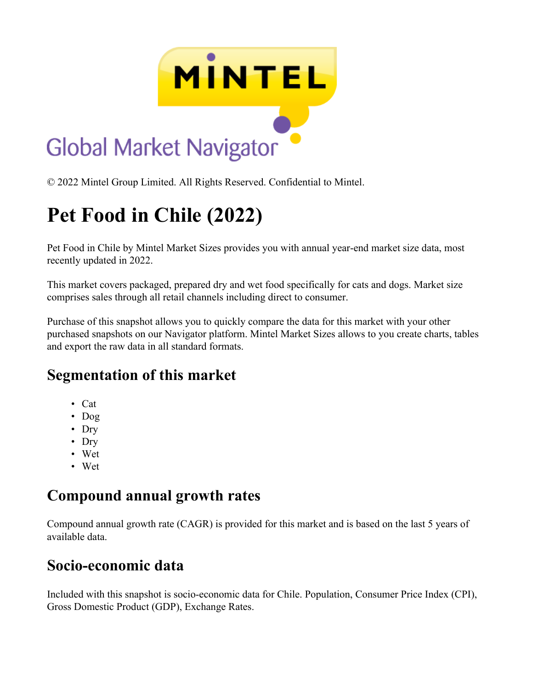

© 2022 Mintel Group Limited. All Rights Reserved. Confidential to Mintel.

# **Pet Food in Chile (2022)**

Pet Food in Chile by Mintel Market Sizes provides you with annual year-end market size data, most recently updated in 2022.

This market covers packaged, prepared dry and wet food specifically for cats and dogs. Market size comprises sales through all retail channels including direct to consumer.

Purchase of this snapshot allows you to quickly compare the data for this market with your other purchased snapshots on our Navigator platform. Mintel Market Sizes allows to you create charts, tables and export the raw data in all standard formats.

### **Segmentation of this market**

- Cat
- Dog
- Dry
- Dry
- Wet
- Wet

# **Compound annual growth rates**

Compound annual growth rate (CAGR) is provided for this market and is based on the last 5 years of available data.

# **Socio-economic data**

Included with this snapshot is socio-economic data for Chile. Population, Consumer Price Index (CPI), Gross Domestic Product (GDP), Exchange Rates.